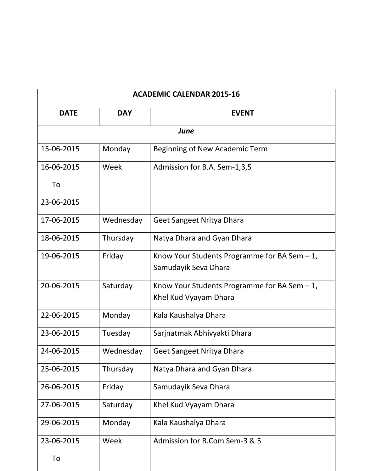| <b>ACADEMIC CALENDAR 2015-16</b> |            |                                                                         |
|----------------------------------|------------|-------------------------------------------------------------------------|
| <b>DATE</b>                      | <b>DAY</b> | <b>EVENT</b>                                                            |
|                                  |            | June                                                                    |
| 15-06-2015                       | Monday     | Beginning of New Academic Term                                          |
| 16-06-2015                       | Week       | Admission for B.A. Sem-1,3,5                                            |
| To                               |            |                                                                         |
| 23-06-2015                       |            |                                                                         |
| 17-06-2015                       | Wednesday  | Geet Sangeet Nritya Dhara                                               |
| 18-06-2015                       | Thursday   | Natya Dhara and Gyan Dhara                                              |
| 19-06-2015                       | Friday     | Know Your Students Programme for BA Sem $-1$ ,<br>Samudayik Seva Dhara  |
| 20-06-2015                       | Saturday   | Know Your Students Programme for BA Sem $-1$ ,<br>Khel Kud Vyayam Dhara |
| 22-06-2015                       | Monday     | Kala Kaushalya Dhara                                                    |
| 23-06-2015                       | Tuesday    | Sarjnatmak Abhivyakti Dhara                                             |
| 24-06-2015                       | Wednesday  | Geet Sangeet Nritya Dhara                                               |
| 25-06-2015                       | Thursday   | Natya Dhara and Gyan Dhara                                              |
| 26-06-2015                       | Friday     | Samudayik Seva Dhara                                                    |
| 27-06-2015                       | Saturday   | Khel Kud Vyayam Dhara                                                   |
| 29-06-2015                       | Monday     | Kala Kaushalya Dhara                                                    |
| 23-06-2015                       | Week       | Admission for B.Com Sem-3 & 5                                           |
| To                               |            |                                                                         |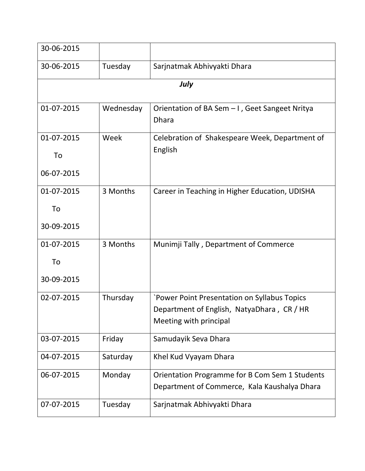| 30-06-2015 |           |                                                                                                |
|------------|-----------|------------------------------------------------------------------------------------------------|
| 30-06-2015 | Tuesday   | Sarjnatmak Abhivyakti Dhara                                                                    |
|            |           | July                                                                                           |
| 01-07-2015 | Wednesday | Orientation of BA Sem - I, Geet Sangeet Nritya<br><b>Dhara</b>                                 |
| 01-07-2015 | Week      | Celebration of Shakespeare Week, Department of                                                 |
| To         |           | English                                                                                        |
| 06-07-2015 |           |                                                                                                |
| 01-07-2015 | 3 Months  | Career in Teaching in Higher Education, UDISHA                                                 |
| To         |           |                                                                                                |
| 30-09-2015 |           |                                                                                                |
| 01-07-2015 | 3 Months  | Munimji Tally, Department of Commerce                                                          |
| To         |           |                                                                                                |
| 30-09-2015 |           |                                                                                                |
| 02-07-2015 | Thursday  | `Power Point Presentation on Syllabus Topics                                                   |
|            |           | Department of English, NatyaDhara, CR / HR<br>Meeting with principal                           |
| 03-07-2015 | Friday    | Samudayik Seva Dhara                                                                           |
| 04-07-2015 | Saturday  | Khel Kud Vyayam Dhara                                                                          |
| 06-07-2015 | Monday    | Orientation Programme for B Com Sem 1 Students<br>Department of Commerce, Kala Kaushalya Dhara |
| 07-07-2015 | Tuesday   | Sarjnatmak Abhivyakti Dhara                                                                    |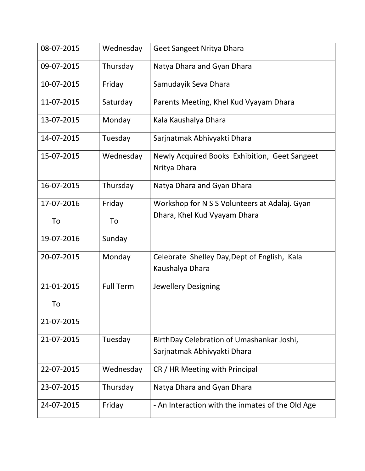| 08-07-2015 | Wednesday        | Geet Sangeet Nritya Dhara                                                |
|------------|------------------|--------------------------------------------------------------------------|
| 09-07-2015 | Thursday         | Natya Dhara and Gyan Dhara                                               |
| 10-07-2015 | Friday           | Samudayik Seva Dhara                                                     |
| 11-07-2015 | Saturday         | Parents Meeting, Khel Kud Vyayam Dhara                                   |
| 13-07-2015 | Monday           | Kala Kaushalya Dhara                                                     |
| 14-07-2015 | Tuesday          | Sarjnatmak Abhivyakti Dhara                                              |
| 15-07-2015 | Wednesday        | Newly Acquired Books Exhibition, Geet Sangeet<br>Nritya Dhara            |
| 16-07-2015 | Thursday         | Natya Dhara and Gyan Dhara                                               |
| 17-07-2016 | Friday           | Workshop for N S S Volunteers at Adalaj. Gyan                            |
| To         | To               | Dhara, Khel Kud Vyayam Dhara                                             |
| 19-07-2016 | Sunday           |                                                                          |
| 20-07-2015 | Monday           | Celebrate Shelley Day, Dept of English, Kala<br>Kaushalya Dhara          |
| 21-01-2015 | <b>Full Term</b> | <b>Jewellery Designing</b>                                               |
| To         |                  |                                                                          |
| 21-07-2015 |                  |                                                                          |
| 21-07-2015 | Tuesday          | BirthDay Celebration of Umashankar Joshi,<br>Sarjnatmak Abhivyakti Dhara |
| 22-07-2015 | Wednesday        | CR / HR Meeting with Principal                                           |
| 23-07-2015 | Thursday         | Natya Dhara and Gyan Dhara                                               |
| 24-07-2015 | Friday           | - An Interaction with the inmates of the Old Age                         |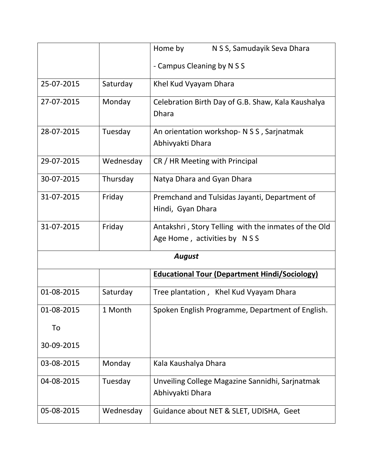|            |           | Home by<br>N S S, Samudayik Seva Dhara                                              |
|------------|-----------|-------------------------------------------------------------------------------------|
|            |           | - Campus Cleaning by N S S                                                          |
| 25-07-2015 | Saturday  | Khel Kud Vyayam Dhara                                                               |
| 27-07-2015 | Monday    | Celebration Birth Day of G.B. Shaw, Kala Kaushalya<br><b>Dhara</b>                  |
| 28-07-2015 | Tuesday   | An orientation workshop- N S S, Sarjnatmak<br>Abhivyakti Dhara                      |
| 29-07-2015 | Wednesday | CR / HR Meeting with Principal                                                      |
| 30-07-2015 | Thursday  | Natya Dhara and Gyan Dhara                                                          |
| 31-07-2015 | Friday    | Premchand and Tulsidas Jayanti, Department of<br>Hindi, Gyan Dhara                  |
| 31-07-2015 | Friday    | Antakshri, Story Telling with the inmates of the Old<br>Age Home, activities by NSS |
|            |           | <b>August</b>                                                                       |
|            |           | <b>Educational Tour (Department Hindi/Sociology)</b>                                |
| 01-08-2015 | Saturday  | Tree plantation, Khel Kud Vyayam Dhara                                              |
| 01-08-2015 | 1 Month   | Spoken English Programme, Department of English.                                    |
| To         |           |                                                                                     |
| 30-09-2015 |           |                                                                                     |
| 03-08-2015 | Monday    | Kala Kaushalya Dhara                                                                |
| 04-08-2015 | Tuesday   | Unveiling College Magazine Sannidhi, Sarjnatmak<br>Abhivyakti Dhara                 |
| 05-08-2015 | Wednesday | Guidance about NET & SLET, UDISHA, Geet                                             |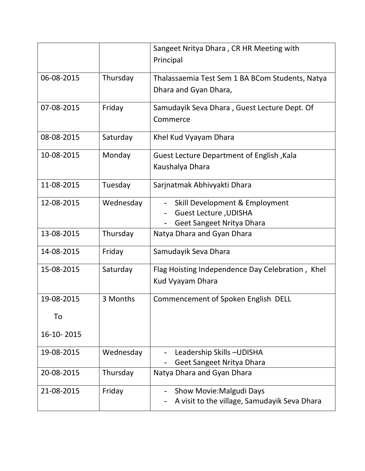|            |           | Sangeet Nritya Dhara, CR HR Meeting with         |
|------------|-----------|--------------------------------------------------|
|            |           | Principal                                        |
| 06-08-2015 | Thursday  | Thalassaemia Test Sem 1 BA BCom Students, Natya  |
|            |           | Dhara and Gyan Dhara,                            |
|            |           |                                                  |
| 07-08-2015 | Friday    | Samudayik Seva Dhara, Guest Lecture Dept. Of     |
|            |           | Commerce                                         |
| 08-08-2015 | Saturday  | Khel Kud Vyayam Dhara                            |
|            |           |                                                  |
| 10-08-2015 | Monday    | <b>Guest Lecture Department of English, Kala</b> |
|            |           | Kaushalya Dhara                                  |
| 11-08-2015 | Tuesday   | Sarjnatmak Abhivyakti Dhara                      |
|            |           |                                                  |
| 12-08-2015 | Wednesday | Skill Development & Employment                   |
|            |           | <b>Guest Lecture , UDISHA</b>                    |
|            |           | Geet Sangeet Nritya Dhara                        |
| 13-08-2015 | Thursday  | Natya Dhara and Gyan Dhara                       |
| 14-08-2015 | Friday    | Samudayik Seva Dhara                             |
| 15-08-2015 | Saturday  | Flag Hoisting Independence Day Celebration, Khel |
|            |           | Kud Vyayam Dhara                                 |
| 19-08-2015 | 3 Months  | Commencement of Spoken English DELL              |
|            |           |                                                  |
| To         |           |                                                  |
| 16-10-2015 |           |                                                  |
| 19-08-2015 | Wednesday | Leadership Skills-UDISHA                         |
|            |           | Geet Sangeet Nritya Dhara                        |
| 20-08-2015 | Thursday  | Natya Dhara and Gyan Dhara                       |
| 21-08-2015 | Friday    | Show Movie: Malgudi Days                         |
|            |           | A visit to the village, Samudayik Seva Dhara     |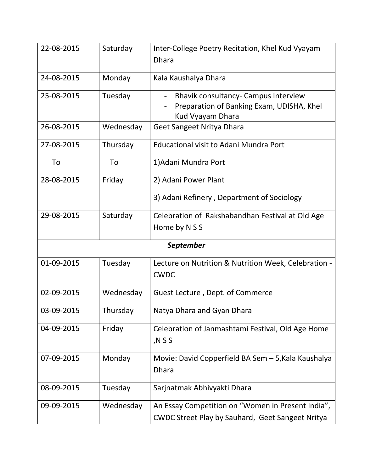| 22-08-2015       | Saturday  | Inter-College Poetry Recitation, Khel Kud Vyayam<br><b>Dhara</b>                                             |  |
|------------------|-----------|--------------------------------------------------------------------------------------------------------------|--|
| 24-08-2015       | Monday    | Kala Kaushalya Dhara                                                                                         |  |
| 25-08-2015       | Tuesday   | <b>Bhavik consultancy- Campus Interview</b><br>Preparation of Banking Exam, UDISHA, Khel<br>Kud Vyayam Dhara |  |
| 26-08-2015       | Wednesday | Geet Sangeet Nritya Dhara                                                                                    |  |
| 27-08-2015       | Thursday  | <b>Educational visit to Adani Mundra Port</b>                                                                |  |
| To               | To        | 1) Adani Mundra Port                                                                                         |  |
| 28-08-2015       | Friday    | 2) Adani Power Plant                                                                                         |  |
|                  |           | 3) Adani Refinery, Department of Sociology                                                                   |  |
| 29-08-2015       | Saturday  | Celebration of Rakshabandhan Festival at Old Age                                                             |  |
|                  |           | Home by N S S                                                                                                |  |
| <b>September</b> |           |                                                                                                              |  |
| 01-09-2015       | Tuesday   | Lecture on Nutrition & Nutrition Week, Celebration -<br><b>CWDC</b>                                          |  |
| 02-09-2015       | Wednesday | Guest Lecture, Dept. of Commerce                                                                             |  |
| 03-09-2015       | Thursday  | Natya Dhara and Gyan Dhara                                                                                   |  |
| 04-09-2015       | Friday    | Celebration of Janmashtami Festival, Old Age Home<br>N S S,                                                  |  |
| 07-09-2015       | Monday    | Movie: David Copperfield BA Sem - 5, Kala Kaushalya<br><b>Dhara</b>                                          |  |
| 08-09-2015       | Tuesday   | Sarjnatmak Abhivyakti Dhara                                                                                  |  |
| 09-09-2015       | Wednesday | An Essay Competition on "Women in Present India",<br><b>CWDC Street Play by Sauhard, Geet Sangeet Nritya</b> |  |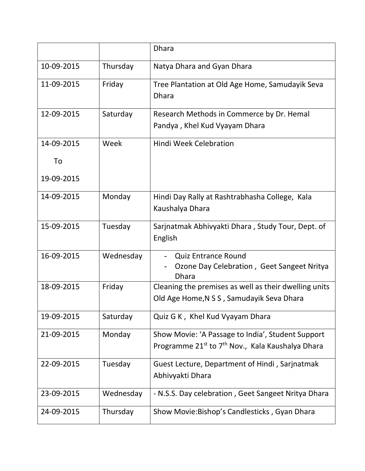|            |           | <b>Dhara</b>                                                                                                                  |
|------------|-----------|-------------------------------------------------------------------------------------------------------------------------------|
| 10-09-2015 | Thursday  | Natya Dhara and Gyan Dhara                                                                                                    |
| 11-09-2015 | Friday    | Tree Plantation at Old Age Home, Samudayik Seva<br><b>Dhara</b>                                                               |
| 12-09-2015 | Saturday  | Research Methods in Commerce by Dr. Hemal<br>Pandya, Khel Kud Vyayam Dhara                                                    |
| 14-09-2015 | Week      | <b>Hindi Week Celebration</b>                                                                                                 |
| To         |           |                                                                                                                               |
| 19-09-2015 |           |                                                                                                                               |
| 14-09-2015 | Monday    | Hindi Day Rally at Rashtrabhasha College, Kala<br>Kaushalya Dhara                                                             |
| 15-09-2015 | Tuesday   | Sarjnatmak Abhivyakti Dhara, Study Tour, Dept. of<br>English                                                                  |
| 16-09-2015 | Wednesday | <b>Quiz Entrance Round</b><br>Ozone Day Celebration, Geet Sangeet Nritya<br><b>Dhara</b>                                      |
| 18-09-2015 | Friday    | Cleaning the premises as well as their dwelling units<br>Old Age Home, N S S, Samudayik Seva Dhara                            |
| 19-09-2015 | Saturday  | Quiz G K, Khel Kud Vyayam Dhara                                                                                               |
| 21-09-2015 | Monday    | Show Movie: 'A Passage to India', Student Support<br>Programme 21 <sup>st</sup> to 7 <sup>th</sup> Nov., Kala Kaushalya Dhara |
| 22-09-2015 | Tuesday   | Guest Lecture, Department of Hindi, Sarjnatmak<br>Abhivyakti Dhara                                                            |
| 23-09-2015 | Wednesday | - N.S.S. Day celebration, Geet Sangeet Nritya Dhara                                                                           |
| 24-09-2015 | Thursday  | Show Movie: Bishop's Candlesticks, Gyan Dhara                                                                                 |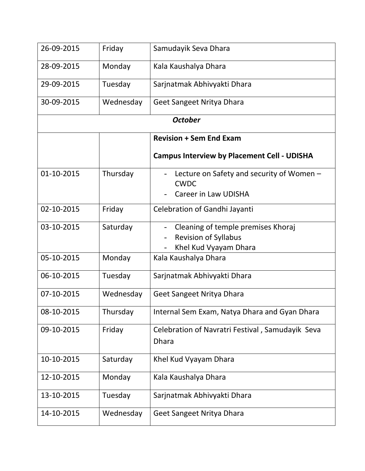| 26-09-2015 | Friday    | Samudayik Seva Dhara                                                                       |
|------------|-----------|--------------------------------------------------------------------------------------------|
| 28-09-2015 | Monday    | Kala Kaushalya Dhara                                                                       |
| 29-09-2015 | Tuesday   | Sarjnatmak Abhivyakti Dhara                                                                |
| 30-09-2015 | Wednesday | Geet Sangeet Nritya Dhara                                                                  |
|            |           | <b>October</b>                                                                             |
|            |           | <b>Revision + Sem End Exam</b>                                                             |
|            |           | <b>Campus Interview by Placement Cell - UDISHA</b>                                         |
| 01-10-2015 | Thursday  | Lecture on Safety and security of Women -<br><b>CWDC</b>                                   |
|            |           | <b>Career in Law UDISHA</b>                                                                |
| 02-10-2015 | Friday    | Celebration of Gandhi Jayanti                                                              |
| 03-10-2015 | Saturday  | Cleaning of temple premises Khoraj<br><b>Revision of Syllabus</b><br>Khel Kud Vyayam Dhara |
| 05-10-2015 | Monday    | Kala Kaushalya Dhara                                                                       |
| 06-10-2015 | Tuesday   | Sarjnatmak Abhivyakti Dhara                                                                |
| 07-10-2015 | Wednesday | Geet Sangeet Nritya Dhara                                                                  |
| 08-10-2015 | Thursday  | Internal Sem Exam, Natya Dhara and Gyan Dhara                                              |
| 09-10-2015 | Friday    | Celebration of Navratri Festival, Samudayik Seva<br><b>Dhara</b>                           |
| 10-10-2015 | Saturday  | Khel Kud Vyayam Dhara                                                                      |
| 12-10-2015 | Monday    | Kala Kaushalya Dhara                                                                       |
| 13-10-2015 | Tuesday   | Sarjnatmak Abhivyakti Dhara                                                                |
| 14-10-2015 | Wednesday | Geet Sangeet Nritya Dhara                                                                  |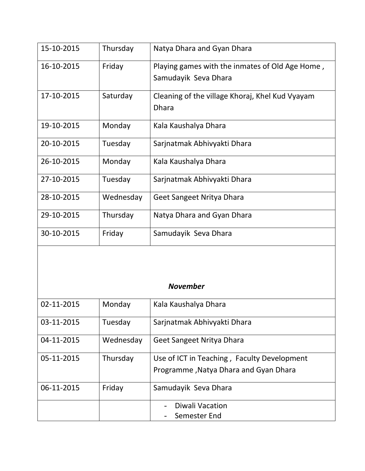| 15-10-2015 | Thursday  | Natya Dhara and Gyan Dhara                                              |
|------------|-----------|-------------------------------------------------------------------------|
| 16-10-2015 | Friday    | Playing games with the inmates of Old Age Home,<br>Samudayik Seva Dhara |
|            |           |                                                                         |
| 17-10-2015 | Saturday  | Cleaning of the village Khoraj, Khel Kud Vyayam<br><b>Dhara</b>         |
| 19-10-2015 | Monday    | Kala Kaushalya Dhara                                                    |
| 20-10-2015 | Tuesday   | Sarjnatmak Abhivyakti Dhara                                             |
| 26-10-2015 | Monday    | Kala Kaushalya Dhara                                                    |
| 27-10-2015 | Tuesday   | Sarjnatmak Abhivyakti Dhara                                             |
| 28-10-2015 | Wednesday | Geet Sangeet Nritya Dhara                                               |
| 29-10-2015 | Thursday  | Natya Dhara and Gyan Dhara                                              |
| 30-10-2015 | Friday    | Samudayik Seva Dhara                                                    |

## *November*

| 02-11-2015 | Monday    | Kala Kaushalya Dhara                                                                 |
|------------|-----------|--------------------------------------------------------------------------------------|
| 03-11-2015 | Tuesday   | Sarjnatmak Abhivyakti Dhara                                                          |
| 04-11-2015 | Wednesday | Geet Sangeet Nritya Dhara                                                            |
| 05-11-2015 | Thursday  | Use of ICT in Teaching, Faculty Development<br>Programme, Natya Dhara and Gyan Dhara |
| 06-11-2015 | Friday    | Samudayik Seva Dhara                                                                 |
|            |           | Diwali Vacation<br>Semester End                                                      |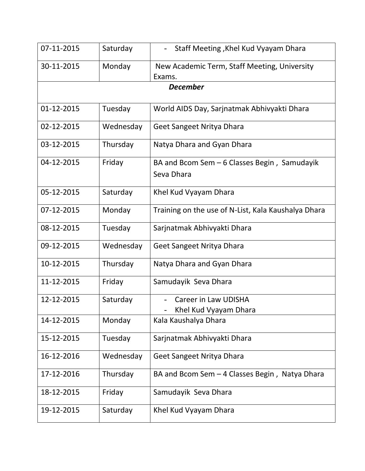| 07-11-2015 | Saturday  | Staff Meeting, Khel Kud Vyayam Dhara                       |
|------------|-----------|------------------------------------------------------------|
| 30-11-2015 | Monday    | New Academic Term, Staff Meeting, University<br>Exams.     |
|            |           | <b>December</b>                                            |
| 01-12-2015 | Tuesday   | World AIDS Day, Sarjnatmak Abhivyakti Dhara                |
| 02-12-2015 | Wednesday | Geet Sangeet Nritya Dhara                                  |
| 03-12-2015 | Thursday  | Natya Dhara and Gyan Dhara                                 |
| 04-12-2015 | Friday    | BA and Bcom Sem - 6 Classes Begin, Samudayik<br>Seva Dhara |
| 05-12-2015 | Saturday  | Khel Kud Vyayam Dhara                                      |
| 07-12-2015 | Monday    | Training on the use of N-List, Kala Kaushalya Dhara        |
| 08-12-2015 | Tuesday   | Sarjnatmak Abhivyakti Dhara                                |
| 09-12-2015 | Wednesday | Geet Sangeet Nritya Dhara                                  |
| 10-12-2015 | Thursday  | Natya Dhara and Gyan Dhara                                 |
| 11-12-2015 | Friday    | Samudayik Seva Dhara                                       |
| 12-12-2015 | Saturday  | <b>Career in Law UDISHA</b><br>Khel Kud Vyayam Dhara       |
| 14-12-2015 | Monday    | Kala Kaushalya Dhara                                       |
| 15-12-2015 | Tuesday   | Sarjnatmak Abhivyakti Dhara                                |
| 16-12-2016 | Wednesday | Geet Sangeet Nritya Dhara                                  |
| 17-12-2016 | Thursday  | BA and Bcom Sem - 4 Classes Begin, Natya Dhara             |
| 18-12-2015 | Friday    | Samudayik Seva Dhara                                       |
| 19-12-2015 | Saturday  | Khel Kud Vyayam Dhara                                      |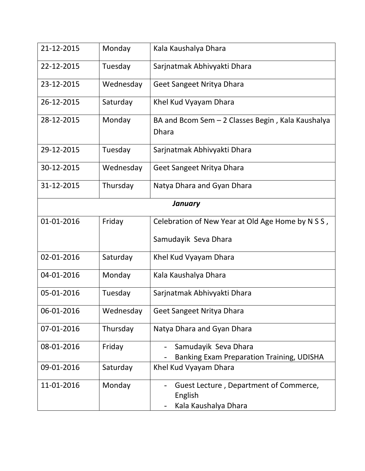| 21-12-2015 | Monday    | Kala Kaushalya Dhara                                                      |  |
|------------|-----------|---------------------------------------------------------------------------|--|
| 22-12-2015 | Tuesday   | Sarjnatmak Abhivyakti Dhara                                               |  |
| 23-12-2015 | Wednesday | Geet Sangeet Nritya Dhara                                                 |  |
| 26-12-2015 | Saturday  | Khel Kud Vyayam Dhara                                                     |  |
| 28-12-2015 | Monday    | BA and Bcom Sem $-$ 2 Classes Begin, Kala Kaushalya<br><b>Dhara</b>       |  |
| 29-12-2015 | Tuesday   | Sarjnatmak Abhivyakti Dhara                                               |  |
| 30-12-2015 | Wednesday | Geet Sangeet Nritya Dhara                                                 |  |
| 31-12-2015 | Thursday  | Natya Dhara and Gyan Dhara                                                |  |
| January    |           |                                                                           |  |
| 01-01-2016 | Friday    | Celebration of New Year at Old Age Home by N S S,                         |  |
|            |           | Samudayik Seva Dhara                                                      |  |
| 02-01-2016 | Saturday  | Khel Kud Vyayam Dhara                                                     |  |
| 04-01-2016 | Monday    | Kala Kaushalya Dhara                                                      |  |
| 05-01-2016 | Tuesday   | Sarjnatmak Abhivyakti Dhara                                               |  |
| 06-01-2016 | Wednesday | Geet Sangeet Nritya Dhara                                                 |  |
| 07-01-2016 | Thursday  | Natya Dhara and Gyan Dhara                                                |  |
| 08-01-2016 | Friday    | Samudayik Seva Dhara<br>Banking Exam Preparation Training, UDISHA         |  |
| 09-01-2016 | Saturday  | Khel Kud Vyayam Dhara                                                     |  |
| 11-01-2016 | Monday    | Guest Lecture, Department of Commerce,<br>English<br>Kala Kaushalya Dhara |  |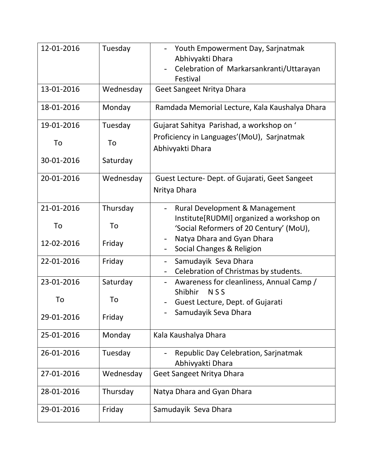| 12-01-2016 | Tuesday   | Youth Empowerment Day, Sarjnatmak<br>Abhivyakti Dhara<br>Celebration of Markarsankranti/Uttarayan<br>Festival         |
|------------|-----------|-----------------------------------------------------------------------------------------------------------------------|
| 13-01-2016 | Wednesday | Geet Sangeet Nritya Dhara                                                                                             |
| 18-01-2016 | Monday    | Ramdada Memorial Lecture, Kala Kaushalya Dhara                                                                        |
| 19-01-2016 | Tuesday   | Gujarat Sahitya Parishad, a workshop on '                                                                             |
| To         | To        | Proficiency in Languages'(MoU), Sarjnatmak<br>Abhivyakti Dhara                                                        |
| 30-01-2016 | Saturday  |                                                                                                                       |
| 20-01-2016 | Wednesday | Guest Lecture- Dept. of Gujarati, Geet Sangeet<br>Nritya Dhara                                                        |
| 21-01-2016 | Thursday  | <b>Rural Development &amp; Management</b>                                                                             |
| To         | To        | Institute[RUDMI] organized a workshop on<br>'Social Reformers of 20 Century' (MoU),                                   |
| 12-02-2016 | Friday    | Natya Dhara and Gyan Dhara<br>Social Changes & Religion                                                               |
| 22-01-2016 | Friday    | Samudayik Seva Dhara<br>$\overline{\phantom{a}}$<br>Celebration of Christmas by students.<br>$\overline{\phantom{a}}$ |
| 23-01-2016 | Saturday  | Awareness for cleanliness, Annual Camp /<br>$\overline{\phantom{a}}$<br><b>NSS</b><br>Shibhir                         |
| To         | To        | Guest Lecture, Dept. of Gujarati                                                                                      |
| 29-01-2016 | Friday    | Samudayik Seva Dhara                                                                                                  |
| 25-01-2016 | Monday    | Kala Kaushalya Dhara                                                                                                  |
| 26-01-2016 | Tuesday   | Republic Day Celebration, Sarjnatmak<br>Abhivyakti Dhara                                                              |
| 27-01-2016 | Wednesday | Geet Sangeet Nritya Dhara                                                                                             |
| 28-01-2016 | Thursday  | Natya Dhara and Gyan Dhara                                                                                            |
| 29-01-2016 | Friday    | Samudayik Seva Dhara                                                                                                  |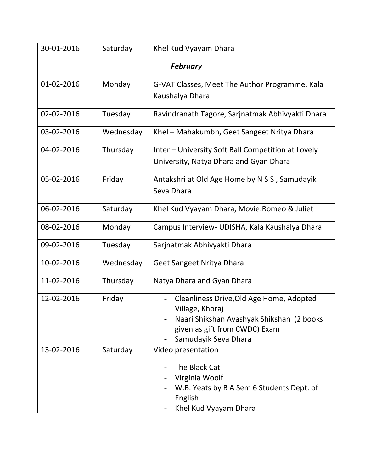| 30-01-2016      | Saturday  | Khel Kud Vyayam Dhara                                                                                                                                             |  |  |
|-----------------|-----------|-------------------------------------------------------------------------------------------------------------------------------------------------------------------|--|--|
| <b>February</b> |           |                                                                                                                                                                   |  |  |
| 01-02-2016      | Monday    | G-VAT Classes, Meet The Author Programme, Kala<br>Kaushalya Dhara                                                                                                 |  |  |
| 02-02-2016      | Tuesday   | Ravindranath Tagore, Sarjnatmak Abhivyakti Dhara                                                                                                                  |  |  |
| 03-02-2016      | Wednesday | Khel – Mahakumbh, Geet Sangeet Nritya Dhara                                                                                                                       |  |  |
| 04-02-2016      | Thursday  | Inter – University Soft Ball Competition at Lovely<br>University, Natya Dhara and Gyan Dhara                                                                      |  |  |
| 05-02-2016      | Friday    | Antakshri at Old Age Home by N S S, Samudayik<br>Seva Dhara                                                                                                       |  |  |
| 06-02-2016      | Saturday  | Khel Kud Vyayam Dhara, Movie: Romeo & Juliet                                                                                                                      |  |  |
| 08-02-2016      | Monday    | Campus Interview - UDISHA, Kala Kaushalya Dhara                                                                                                                   |  |  |
| 09-02-2016      | Tuesday   | Sarjnatmak Abhivyakti Dhara                                                                                                                                       |  |  |
| 10-02-2016      | Wednesday | Geet Sangeet Nritya Dhara                                                                                                                                         |  |  |
| 11-02-2016      | Thursday  | Natya Dhara and Gyan Dhara                                                                                                                                        |  |  |
| 12-02-2016      | Friday    | Cleanliness Drive, Old Age Home, Adopted<br>Village, Khoraj<br>Naari Shikshan Avashyak Shikshan (2 books<br>given as gift from CWDC) Exam<br>Samudayik Seva Dhara |  |  |
| 13-02-2016      | Saturday  | Video presentation<br>The Black Cat<br>Virginia Woolf<br>W.B. Yeats by B A Sem 6 Students Dept. of<br>English<br>Khel Kud Vyayam Dhara                            |  |  |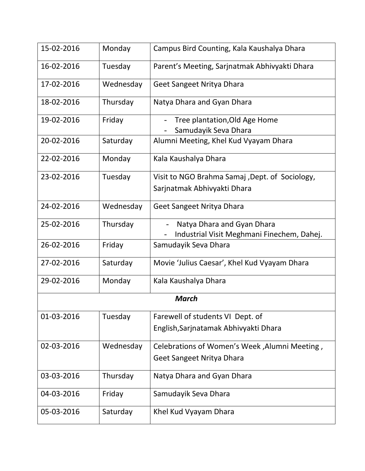| 15-02-2016   | Monday    | Campus Bird Counting, Kala Kaushalya Dhara            |  |  |
|--------------|-----------|-------------------------------------------------------|--|--|
| 16-02-2016   | Tuesday   | Parent's Meeting, Sarjnatmak Abhivyakti Dhara         |  |  |
| 17-02-2016   | Wednesday | Geet Sangeet Nritya Dhara                             |  |  |
| 18-02-2016   | Thursday  | Natya Dhara and Gyan Dhara                            |  |  |
| 19-02-2016   | Friday    | Tree plantation, Old Age Home<br>Samudayik Seva Dhara |  |  |
| 20-02-2016   | Saturday  | Alumni Meeting, Khel Kud Vyayam Dhara                 |  |  |
| 22-02-2016   | Monday    | Kala Kaushalya Dhara                                  |  |  |
| 23-02-2016   | Tuesday   | Visit to NGO Brahma Samaj, Dept. of Sociology,        |  |  |
|              |           | Sarjnatmak Abhivyakti Dhara                           |  |  |
| 24-02-2016   | Wednesday | Geet Sangeet Nritya Dhara                             |  |  |
| 25-02-2016   | Thursday  | Natya Dhara and Gyan Dhara                            |  |  |
|              |           | Industrial Visit Meghmani Finechem, Dahej.            |  |  |
| 26-02-2016   | Friday    | Samudayik Seva Dhara                                  |  |  |
| 27-02-2016   | Saturday  | Movie 'Julius Caesar', Khel Kud Vyayam Dhara          |  |  |
| 29-02-2016   | Monday    | Kala Kaushalya Dhara                                  |  |  |
| <b>March</b> |           |                                                       |  |  |
| 01-03-2016   | Tuesday   | Farewell of students VI Dept. of                      |  |  |
|              |           | English, Sarjnatamak Abhivyakti Dhara                 |  |  |
| 02-03-2016   | Wednesday | Celebrations of Women's Week, Alumni Meeting,         |  |  |
|              |           | Geet Sangeet Nritya Dhara                             |  |  |
| 03-03-2016   | Thursday  | Natya Dhara and Gyan Dhara                            |  |  |
| 04-03-2016   | Friday    | Samudayik Seva Dhara                                  |  |  |
| 05-03-2016   | Saturday  | Khel Kud Vyayam Dhara                                 |  |  |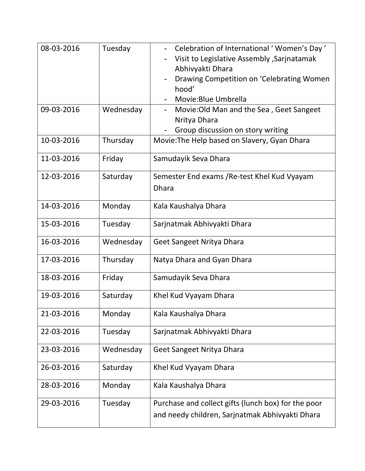| 08-03-2016 | Tuesday   | Celebration of International 'Women's Day'<br>Visit to Legislative Assembly , Sarjnatamak<br>Abhivyakti Dhara<br>Drawing Competition on 'Celebrating Women<br>hood'<br>Movie: Blue Umbrella |
|------------|-----------|---------------------------------------------------------------------------------------------------------------------------------------------------------------------------------------------|
| 09-03-2016 | Wednesday | Movie: Old Man and the Sea, Geet Sangeet<br>Nritya Dhara<br>Group discussion on story writing                                                                                               |
| 10-03-2016 | Thursday  | Movie: The Help based on Slavery, Gyan Dhara                                                                                                                                                |
| 11-03-2016 | Friday    | Samudayik Seva Dhara                                                                                                                                                                        |
| 12-03-2016 | Saturday  | Semester End exams / Re-test Khel Kud Vyayam<br><b>Dhara</b>                                                                                                                                |
| 14-03-2016 | Monday    | Kala Kaushalya Dhara                                                                                                                                                                        |
| 15-03-2016 | Tuesday   | Sarjnatmak Abhivyakti Dhara                                                                                                                                                                 |
| 16-03-2016 | Wednesday | Geet Sangeet Nritya Dhara                                                                                                                                                                   |
| 17-03-2016 | Thursday  | Natya Dhara and Gyan Dhara                                                                                                                                                                  |
| 18-03-2016 | Friday    | Samudayik Seva Dhara                                                                                                                                                                        |
| 19-03-2016 | Saturday  | Khel Kud Vyayam Dhara                                                                                                                                                                       |
| 21-03-2016 | Monday    | Kala Kaushalya Dhara                                                                                                                                                                        |
| 22-03-2016 | Tuesday   | Sarjnatmak Abhivyakti Dhara                                                                                                                                                                 |
| 23-03-2016 | Wednesday | Geet Sangeet Nritya Dhara                                                                                                                                                                   |
| 26-03-2016 | Saturday  | Khel Kud Vyayam Dhara                                                                                                                                                                       |
| 28-03-2016 | Monday    | Kala Kaushalya Dhara                                                                                                                                                                        |
| 29-03-2016 | Tuesday   | Purchase and collect gifts (lunch box) for the poor<br>and needy children, Sarjnatmak Abhivyakti Dhara                                                                                      |